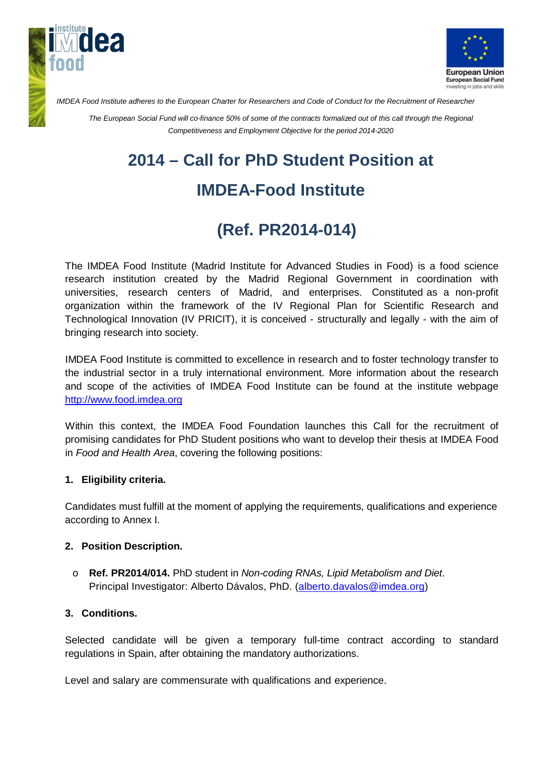



*IMDEA Food Institute adheres to the European Charter for Researchers and Code of Conduct for the Recruitment of Researcher*

*The European Social Fund will co-finance 50% of some of the contracts formalized out of this call through the Regional Competitiveness and Employment Objective for the period 2014-2020*

# **2014 – Call for PhD Student Position at**

## **IMDEA-Food Institute**

## **(Ref. PR2014-014)**

The IMDEA Food Institute (Madrid Institute for Advanced Studies in Food) is a food science research institution created by the Madrid Regional Government in coordination with universities, research centers of Madrid, and enterprises. Constituted as a non-profit organization within the framework of the IV Regional Plan for Scientific Research and Technological Innovation (IV PRICIT), it is conceived - structurally and legally - with the aim of bringing research into society.

IMDEA Food Institute is committed to excellence in research and to foster technology transfer to the industrial sector in a truly international environment. More information about the research and scope of the activities of IMDEA Food Institute can be found at the institute webpage [http://www.food.imdea.org](http://www.food.imdea.org/)

Within this context, the IMDEA Food Foundation launches this Call for the recruitment of promising candidates for PhD Student positions who want to develop their thesis at IMDEA Food in *Food and Health Area*, covering the following positions:

#### **1. Eligibility criteria.**

Candidates must fulfill at the moment of applying the requirements, qualifications and experience according to Annex I.

#### **2. Position Description.**

o **Ref. PR2014/014.** PhD student in *Non-coding RNAs, Lipid Metabolism and Diet*. Principal Investigator: Alberto Dávalos, PhD. [\(alberto.davalos@imdea.org\)](mailto:alberto.davalos@imdea.org)

#### **3. Conditions.**

Selected candidate will be given a temporary full-time contract according to standard regulations in Spain, after obtaining the mandatory authorizations.

Level and salary are commensurate with qualifications and experience.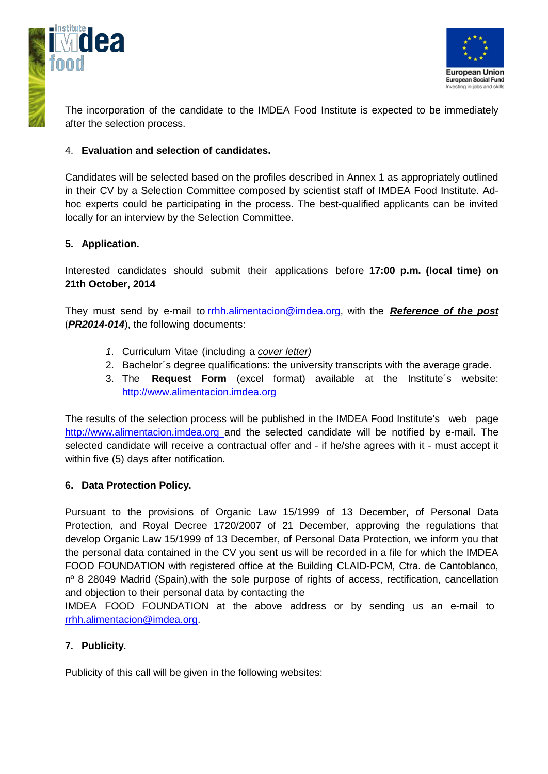



The incorporation of the candidate to the IMDEA Food Institute is expected to be immediately after the selection process.

#### 4. **Evaluation and selection of candidates.**

Candidates will be selected based on the profiles described in Annex 1 as appropriately outlined in their CV by a Selection Committee composed by scientist staff of IMDEA Food Institute. Adhoc experts could be participating in the process. The best-qualified applicants can be invited locally for an interview by the Selection Committee.

#### **5. Application.**

Interested candidates should submit their applications before **17:00 p.m. (local time) on 21th October, 2014**

They must send by e-mail to rrhh.alimentacion@imdea.org, with the *Reference of the post* (*PR2014-014*), the following documents:

- *1.* Curriculum Vitae (including a *cover letter)*
- 2. Bachelor´s degree qualifications: the university transcripts with the average grade.
- 3. The **Request Form** (excel format) available at the Institute´s website: [http://www.alimentacion.imdea.org](http://www.alimentacion.imdea.org/)

The results of the selection process will be published in the IMDEA Food Institute's web page http://www.alimentacion.imdea.org and the selected candidate will be notified by e-mail. The selected candidate will receive a contractual offer and - if he/she agrees with it - must accept it within five (5) days after notification.

#### **6. Data Protection Policy.**

Pursuant to the provisions of Organic Law 15/1999 of 13 December, of Personal Data Protection, and Royal Decree 1720/2007 of 21 December, approving the regulations that develop Organic Law 15/1999 of 13 December, of Personal Data Protection, we inform you that the personal data contained in the CV you sent us will be recorded in a file for which the IMDEA FOOD FOUNDATION with registered office at the Building CLAID-PCM, Ctra. de Cantoblanco, nº 8 28049 Madrid (Spain), with the sole purpose of rights of access, rectification, cancellation and objection to their personal data by contacting the

IMDEA FOOD FOUNDATION at the above address or by sending us an e-mail to [rrhh.alimentacion@imdea.org.](mailto:rrhh.alimentacion@imdea.org)

#### **7. Publicity.**

Publicity of this call will be given in the following websites: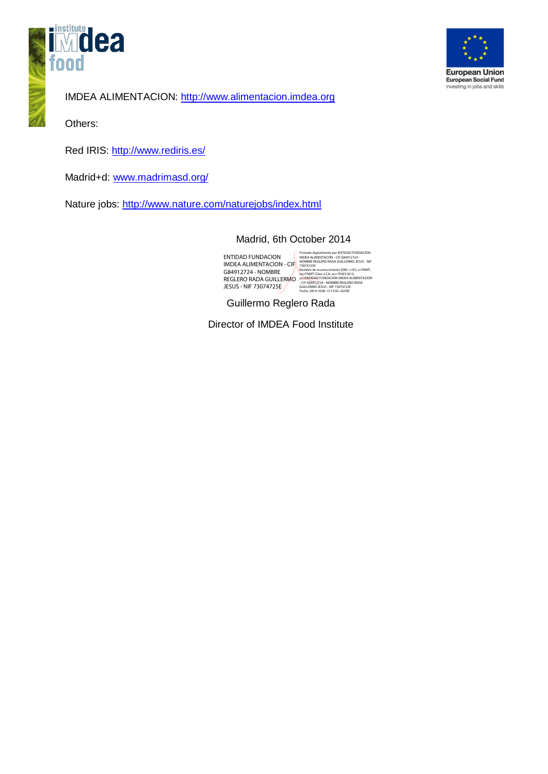



IMDEA ALIMENTACION: http:/[/www.alimentacion.imdea.org](http://www.alimentacion.imdea.org/)

Others:

Red IRIS:<http://www.rediris.es/>

Madrid+d: [www.madrimasd.org/](http://www.madrimasd.org/)

Nature jobs:<http://www.nature.com/naturejobs/index.html>

#### Madrid, 6th October 2014

ENTIDAD FUNDACION IMDEA ALIMENTACION - CIF G84912724 - NOMBRE REGLERO RADA GUILLERMO JESUS - NIF 73074725E

Firmado digitalmente por ENTIDAD FUNDACION IMDEA ALIMENTACION - CIF G84912724 - NOMBRE REGLERO RADA GUILLERMO JESUS - NIF 73074725E Nombre de reconocimiento (DN): c=ES, o=FNMT, ou=FNMT Clase 2 CA, ou=703015013, cn=ENTIDAD FUNDACION IMDEA ALIMENTACION - CIF G84912724 - NOMBRE REGLERO RADA GUILLERMO JESUS - NIF 73074725E Fecha: 2014.10.06 13:15:43 +02'00'

Guillermo Reglero Rada

Director of IMDEA Food Institute